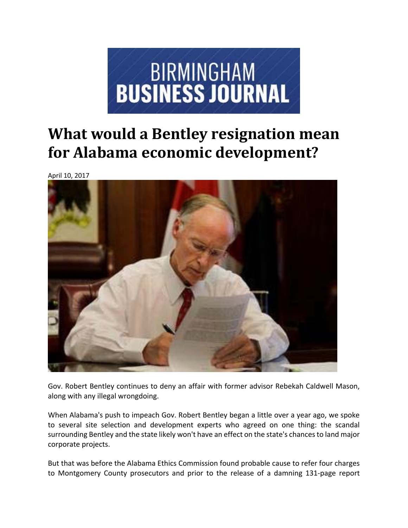

## **What would a Bentley resignation mean for Alabama economic development?**

April 10, 2017



Gov. Robert Bentley continues to deny an affair with former advisor Rebekah Caldwell Mason, along with any illegal wrongdoing.

When Alabama's push to impeach Gov. Robert Bentley began a little over a year ago, we spoke to several site selection and development experts who agreed on one thing: the scandal surrounding Bentley and the state likely won't have an effect on the state's chances to land major corporate projects.

But that was before the Alabama Ethics Commission found probable cause to refer four charges to Montgomery County prosecutors and prior to the release of a damning 131‐page report